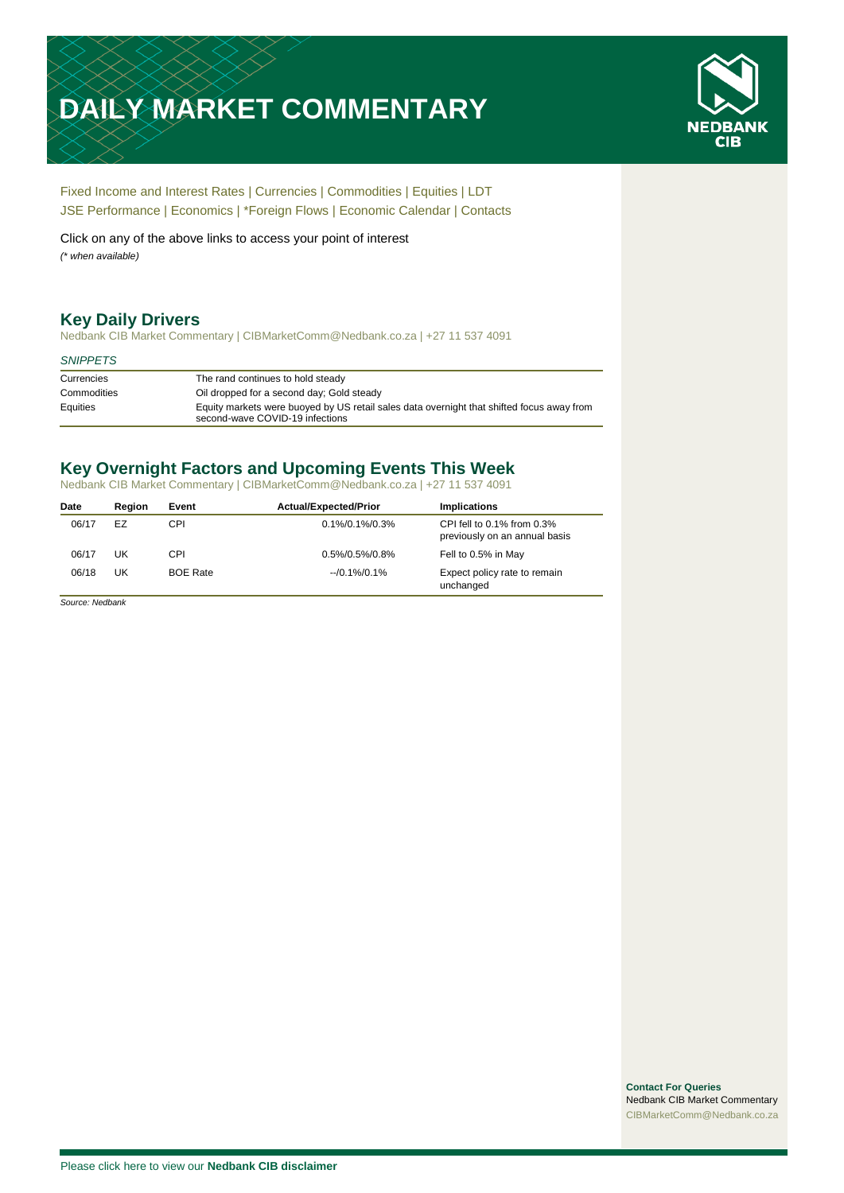# **DAILY MARKET COMMENTARY**



[Fixed Income and Interest Rates](#page-1-0) | [Currencies](#page-2-0) | [Commodities](#page-3-0) [| Equities](#page-4-0) | [LDT](#page-5-0) [JSE Performance](#page-6-0) [| Economics](#page-7-0) | \*Foreign Flows | [Economic Calendar](#page-7-0) | [Contacts](#page-8-0)

Click on any of the above links to access your point of interest *(\* when available)*

# **Key Daily Drivers**

Nedbank CIB Market Commentary | CIBMarketComm@Nedbank.co.za | +27 11 537 4091

#### *SNIPPETS*

| Currencies  | The rand continues to hold steady                                                                                            |
|-------------|------------------------------------------------------------------------------------------------------------------------------|
| Commodities | Oil dropped for a second day; Gold steady                                                                                    |
| Equities    | Equity markets were buoyed by US retail sales data overnight that shifted focus away from<br>second-wave COVID-19 infections |

# **Key Overnight Factors and Upcoming Events This Week**

Nedbank CIB Market Commentary | CIBMarketComm@Nedbank.co.za | +27 11 537 4091

| Date  | Reaion | Event           | <b>Actual/Expected/Prior</b> | <b>Implications</b>                                               |
|-------|--------|-----------------|------------------------------|-------------------------------------------------------------------|
| 06/17 | EZ     | CPI             | 0.1%/0.1%/0.3%               | CPI fell to $0.1\%$ from $0.3\%$<br>previously on an annual basis |
| 06/17 | UK     | CPI             | 0.5%/0.5%/0.8%               | Fell to 0.5% in May                                               |
| 06/18 | UK     | <b>BOE Rate</b> | $-10.1\%/0.1\%$              | Expect policy rate to remain<br>unchanged                         |

*Source: Nedbank*

**Contact For Queries** Nedbank CIB Market Commentary [CIBMarketComm@Nedbank.co.za](file:///C:/Users/Paul-Rose/AppData/Roaming/Bluecurve/templates/CIBMarketComm@Nedbank.co.za)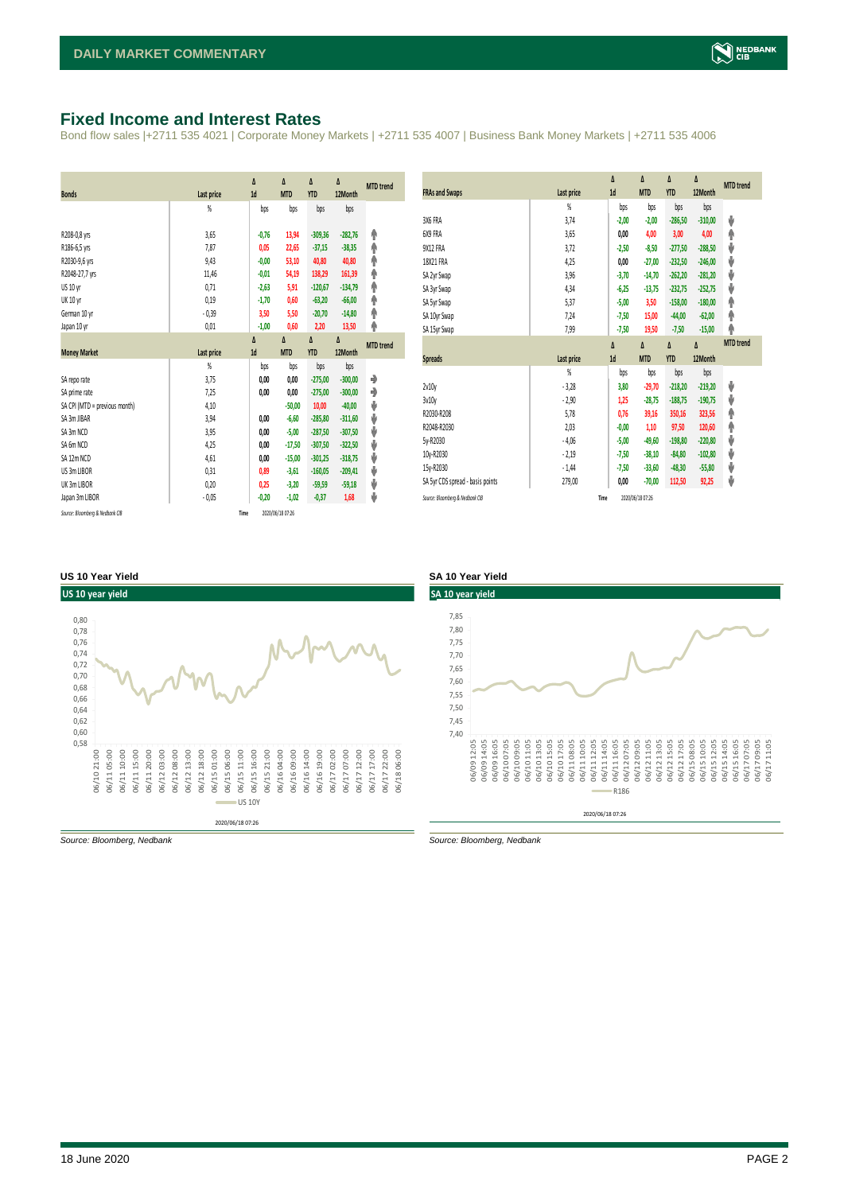# <span id="page-1-0"></span>**Fixed Income and Interest Rates**

Bond flow sales |+2711 535 4021 | Corporate Money Markets | +2711 535 4007 | Business Bank Money Markets | +2711 535 4006

|                                 |                   | Δ       | Δ                | Δ          | Δ         | <b>MTD</b> trend |
|---------------------------------|-------------------|---------|------------------|------------|-----------|------------------|
| <b>Bonds</b>                    | <b>Last price</b> | 1d      | <b>MTD</b>       | <b>YTD</b> | 12Month   |                  |
|                                 | %                 | bps     | bps              | bps        | bps       |                  |
| R208-0,8 yrs                    | 3,65              | $-0,76$ | 13,94            | $-309,36$  | $-282,76$ | φ                |
| R186-6,5 yrs                    | 7,87              | 0,05    | 22,65            | $-37,15$   | $-38,35$  | φ                |
| R2030-9,6 yrs                   | 9,43              | $-0,00$ | 53,10            | 40,80      | 40,80     | Ϋ                |
| R2048-27,7 yrs                  | 11,46             | $-0.01$ | 54,19            | 138,29     | 161,39    | φ                |
| US 10 yr                        | 0,71              | $-2,63$ | 5,91             | $-120,67$  | $-134,79$ | φ                |
| <b>UK 10 yr</b>                 | 0,19              | $-1,70$ | 0,60             | $-63,20$   | $-66,00$  | Φ                |
| German 10 yr                    | $-0,39$           | 3,50    | 5,50             | $-20,70$   | $-14,80$  | Φ                |
| Japan 10 yr                     | 0,01              | $-1,00$ | 0,60             | 2,20       | 13,50     | φ                |
|                                 |                   | Δ       | Δ                | Δ          | Δ         | <b>MTD</b> trend |
| <b>Money Market</b>             | Last price        | 1d      | <b>MTD</b>       | <b>YTD</b> | 12Month   |                  |
|                                 | $\frac{9}{20}$    | bps     | bps              | bps        | bps       |                  |
| SA repo rate                    | 3,75              | 0,00    | 0,00             | $-275.00$  | $-300,00$ | ۰                |
| SA prime rate                   | 7,25              | 0,00    | 0,00             | $-275,00$  | $-300,00$ | ۰                |
| SA CPI (MTD = previous month)   | 4,10              |         | $-50,00$         | 10,00      | $-40,00$  | ⊎                |
| SA 3m JIBAR                     | 3,94              | 0,00    | $-6,60$          | $-285.80$  | $-311.60$ | ⊎                |
| SA 3m NCD                       | 3,95              | 0,00    | $-5,00$          | $-287,50$  | $-307,50$ | ⊎                |
| SA 6m NCD                       | 4,25              | 0,00    | $-17,50$         | $-307,50$  | $-322,50$ | V                |
| SA 12m NCD                      | 4,61              | 0,00    | $-15,00$         | $-301.25$  | $-318,75$ | J                |
| US 3m LIBOR                     | 0,31              | 0,89    | $-3,61$          | $-160,05$  | $-209,41$ | J                |
| UK 3m LIBOR                     | 0,20              | 0,25    | $-3,20$          | $-59,59$   | $-59,18$  | ⊎                |
| Japan 3m LIBOR                  | $-0,05$           | $-0,20$ | $-1,02$          | $-0,37$    | 1,68      | J                |
| Source: Bloomberg & Nedbank CIB | Time              |         | 2020/06/18 07:26 |            |           |                  |

|                                  |                | Δ<br>1d | Δ<br><b>MTD</b> | Δ<br><b>YTD</b> | Δ<br>12Month | <b>MTD</b> trend |
|----------------------------------|----------------|---------|-----------------|-----------------|--------------|------------------|
| <b>FRAs and Swaps</b>            | Last price     |         |                 |                 |              |                  |
|                                  | %              | bps     | bps             | bps             | bps          |                  |
| 3X6 FRA                          | 3,74           | $-2,00$ | $-2,00$         | $-286,50$       | $-310,00$    | ψ                |
| 6X9 FRA                          | 3,65           | 0.00    | 4,00            | 3,00            | 4,00         | ۸                |
| 9X12 FRA                         | 3,72           | $-2,50$ | $-8,50$         | $-277,50$       | $-288,50$    | ψ                |
| 18X21 FRA                        | 4,25           | 0,00    | $-27,00$        | $-232,50$       | $-246,00$    | ψ                |
| SA 2yr Swap                      | 3,96           | $-3,70$ | $-14,70$        | $-262,20$       | $-281,20$    | ψ                |
| SA 3yr Swap                      | 4,34           | $-6,25$ | $-13,75$        | $-232,75$       | $-252,75$    | ψ                |
| SA 5yr Swap                      | 5,37           | $-5,00$ | 3,50            | $-158,00$       | $-180,00$    | ۸                |
| SA 10yr Swap                     | 7,24           | $-7,50$ | 15,00           | $-44,00$        | $-62,00$     | φ                |
| SA 15yr Swap                     | 7,99           | $-7,50$ | 19,50           | $-7,50$         | $-15,00$     | φ                |
|                                  |                | Δ       | Δ               | Δ               | Δ            | <b>MTD</b> trend |
| <b>Spreads</b>                   | Last price     | 1d      | <b>MTD</b>      | <b>YTD</b>      | 12Month      |                  |
|                                  | $\frac{9}{20}$ | bps     | bps             | bps             | bps          |                  |
| 2v10v                            | $-3,28$        | 3,80    | $-29,70$        | $-218,20$       | $-219,20$    | ψ                |
| 3v10y                            | $-2,90$        | 1,25    | $-28,75$        | $-188,75$       | $-190,75$    | ψ                |
|                                  |                |         |                 | 350,16          |              | ۸                |
| R2030-R208                       | 5,78           | 0.76    | 39,16           |                 | 323,56       |                  |
| R2048-R2030                      | 2,03           | $-0,00$ | 1,10            | 97,50           | 120,60       | ۸                |
| 5y-R2030                         | $-4,06$        | $-5,00$ | $-49,60$        | $-198,80$       | $-220,80$    | ψ                |
| 10y-R2030                        | $-2,19$        | $-7,50$ | $-38,10$        | $-84,80$        | $-102,80$    | ψ                |
| 15y-R2030                        | $-1,44$        | $-7,50$ | $-33,60$        | $-48,30$        | $-55,80$     | ψ                |
| SA 5yr CDS spread - basis points | 279,00         | 0,00    | $-70,00$        | 112,50          | 92,25        | ψ                |

#### **US 10 Year Yield SA 10 Year Yield**





*Source: Bloomberg, Nedbank Source: Bloomberg, Nedbank*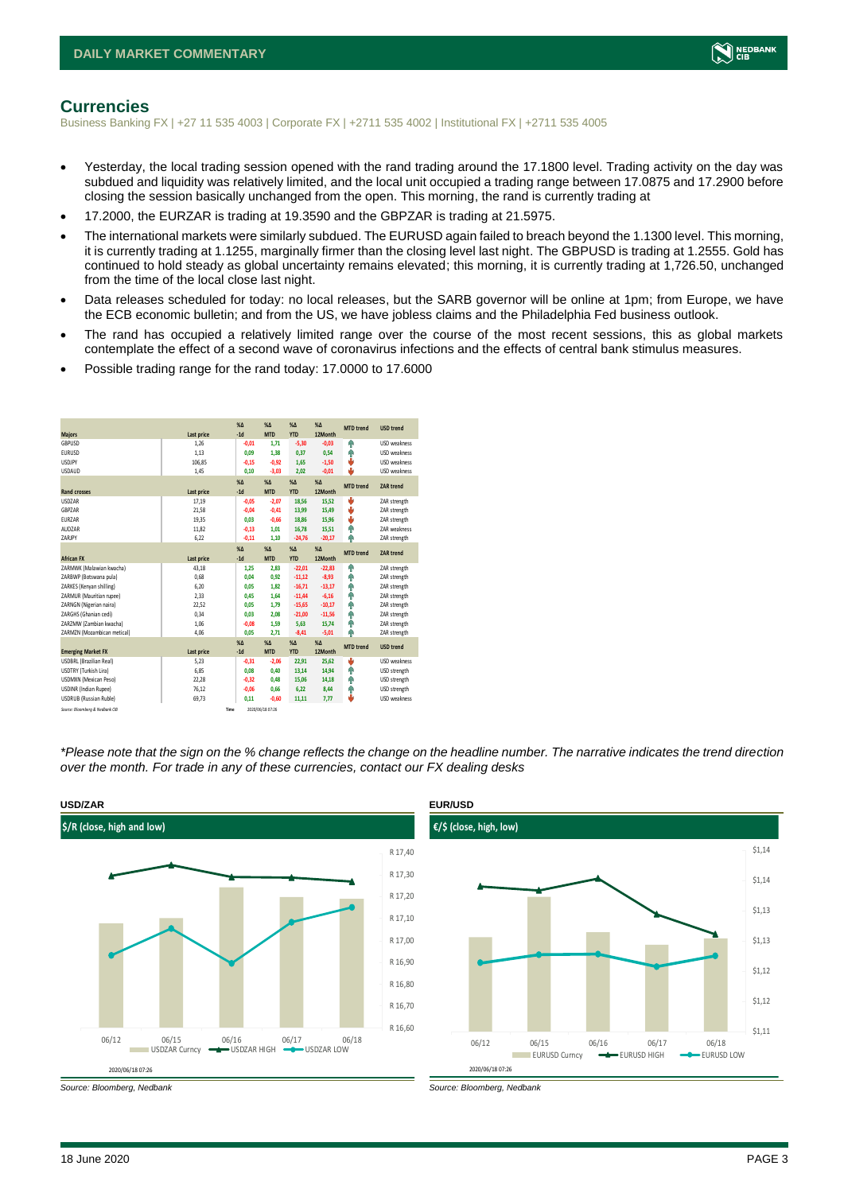

#### <span id="page-2-0"></span>**Currencies**

Business Banking FX | +27 11 535 4003 | Corporate FX | +2711 535 4002 | Institutional FX | +2711 535 4005

- Yesterday, the local trading session opened with the rand trading around the 17.1800 level. Trading activity on the day was subdued and liquidity was relatively limited, and the local unit occupied a trading range between 17.0875 and 17.2900 before closing the session basically unchanged from the open. This morning, the rand is currently trading at
- 17.2000, the EURZAR is trading at 19.3590 and the GBPZAR is trading at 21.5975.
- The international markets were similarly subdued. The EURUSD again failed to breach beyond the 1.1300 level. This morning, it is currently trading at 1.1255, marginally firmer than the closing level last night. The GBPUSD is trading at 1.2555. Gold has continued to hold steady as global uncertainty remains elevated; this morning, it is currently trading at 1,726.50, unchanged from the time of the local close last night.
- Data releases scheduled for today: no local releases, but the SARB governor will be online at 1pm; from Europe, we have the ECB economic bulletin; and from the US, we have jobless claims and the Philadelphia Fed business outlook.
- The rand has occupied a relatively limited range over the course of the most recent sessions, this as global markets contemplate the effect of a second wave of coronavirus infections and the effects of central bank stimulus measures.
- Possible trading range for the rand today: 17.0000 to 17.6000

|                                 |            | X <sub>A</sub> | X <sub>A</sub>   | $\%$ $\Lambda$ | %          | <b>MTD</b> trend | <b>USD trend</b>    |
|---------------------------------|------------|----------------|------------------|----------------|------------|------------------|---------------------|
| <b>Majors</b>                   | Last price | $-1d$          | <b>MTD</b>       | <b>YTD</b>     | 12Month    |                  |                     |
| GBPUSD                          | 1.26       | $-0.01$        | 1.71             | $-5.30$        | $-0.03$    | Φ                | USD weakness        |
| <b>EURUSD</b>                   | 1,13       | 0.09           | 1.38             | 0,37           | 0,54       | ۸                | USD weakness        |
| <b>USDJPY</b>                   | 106,85     | $-0.15$        | $-0.92$          | 1.65           | $-1,50$    | J                | <b>USD</b> weakness |
| <b>USDAUD</b>                   | 1,45       | 0,10           | $-3,03$          | 2,02           | $-0,01$    | ı                | USD weakness        |
|                                 |            | $X\Delta$      | $X\Delta$        | $% \Delta$     | $% \Delta$ | <b>MTD</b> trend | <b>ZAR trend</b>    |
| <b>Rand crosses</b>             | Last price | $-1d$          | <b>MTD</b>       | <b>YTD</b>     | 12Month    |                  |                     |
| <b>USDZAR</b>                   | 17,19      | $-0,05$        | $-2,07$          | 18,56          | 15,52      | v                | ZAR strength        |
| GBPZAR                          | 21,58      | $-0.04$        | $-0,41$          | 13,99          | 15,49      | v                | ZAR strength        |
| EURZAR                          | 19,35      | 0.03           | $-0,66$          | 18,86          | 15,96      | ÷                | ZAR strength        |
| AUD7AR                          | 11,82      | $-0,13$        | 1.01             | 16,78          | 15,51      | ٠                | <b>7AR</b> weakness |
| ZARJPY                          | 6,22       | $-0,11$        | 1,10             | $-24,76$       | $-20,17$   | ۸                | ZAR strength        |
|                                 |            | $X\Delta$      | $X\Delta$        | $% \Delta$     | $% \Delta$ | <b>MTD</b> trend | <b>ZAR trend</b>    |
| <b>African FX</b>               | Last price | $-1d$          | <b>MTD</b>       | <b>YTD</b>     | 12Month    |                  |                     |
| ZARMWK (Malawian kwacha)        | 43,18      | 1,25           | 2,83             | $-22,01$       | $-22,83$   | Φ                | ZAR strength        |
| ZARBWP (Botswana pula)          | 0,68       | 0,04           | 0,92             | $-11,12$       | $-8,93$    | ٠                | ZAR strength        |
| ZARKES (Kenyan shilling)        | 6,20       | 0.05           | 1,82             | $-16,71$       | $-13,17$   | Φ                | ZAR strength        |
| ZARMUR (Mauritian rupee)        | 2,33       | 0.45           | 1.64             | $-11,44$       | $-6,16$    | ٠                | ZAR strength        |
| ZARNGN (Nigerian naira)         | 22,52      | 0.05           | 1.79             | $-15,65$       | $-10,17$   | Φ                | ZAR strength        |
| ZARGHS (Ghanian cedi)           | 0,34       | 0,03           | 2,08             | $-21,00$       | $-11,56$   | ۸                | ZAR strength        |
| ZARZMW (Zambian kwacha)         | 1.06       | $-0.08$        | 1,59             | 5,63           | 15,74      | ÷                | ZAR strength        |
| ZARMZN (Mozambican metical)     | 4,06       | 0,05           | 2,71             | $-8,41$        | $-5,01$    | ۸                | ZAR strength        |
|                                 |            | $X\Delta$      | $X\Delta$        | $% \Delta$     | $% \Delta$ | <b>MTD</b> trend | <b>USD trend</b>    |
| <b>Emerging Market FX</b>       | Last price | $-1d$          | <b>MTD</b>       | <b>YTD</b>     | 12Month    |                  |                     |
| <b>USDBRL</b> (Brazilian Real)  | 5,23       | $-0,31$        | $-2,06$          | 22,91          | 25,62      | s                | USD weakness        |
| USDTRY (Turkish Lira)           | 6,85       | 0.08           | 0.40             | 13,14          | 14,94      | ٠                | USD strength        |
| USDMXN (Mexican Peso)           | 22,28      | $-0,32$        | 0,48             | 15,06          | 14,18      | ۸                | USD strength        |
| <b>USDINR</b> (Indian Rupee)    | 76,12      | $-0,06$        | 0,66             | 6,22           | 8,44       | ٠                | USD strength        |
| <b>USDRUB</b> (Russian Ruble)   | 69,73      | 0,11           | $-0,60$          | 11,11          | 7,77       | ı                | USD weakness        |
| Source: Bloomberg & Nedbank CIB | Time       |                | 2020/06/18 07:26 |                |            |                  |                     |

*\*Please note that the sign on the % change reflects the change on the headline number. The narrative indicates the trend direction over the month. For trade in any of these currencies, contact our FX dealing desks*





*Source: Bloomberg, Nedbank Source: Bloomberg, Nedbank*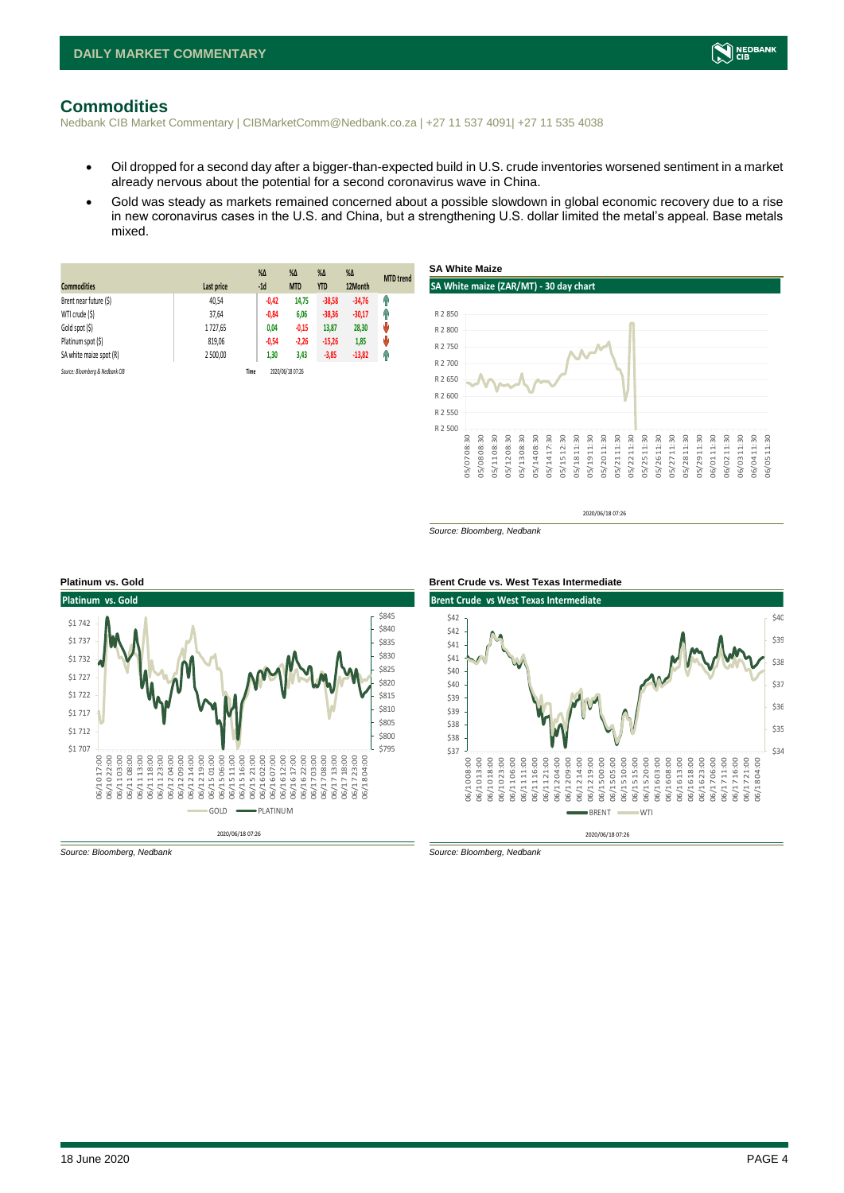

### <span id="page-3-0"></span>**Commodities**

Nedbank CIB Market Commentary | CIBMarketComm@Nedbank.co.za | +27 11 537 4091| +27 11 535 4038

- Oil dropped for a second day after a bigger-than-expected build in U.S. crude inventories worsened sentiment in a market already nervous about the potential for a second coronavirus wave in China.
- Gold was steady as markets remained concerned about a possible slowdown in global economic recovery due to a rise in new coronavirus cases in the U.S. and China, but a strengthening U.S. dollar limited the metal's appeal. Base metals mixed.

| <b>Commodities</b>              | Last price | $%$ $\Delta$<br>$-1d$ | $\%$ $\Delta$<br><b>MTD</b> | $%$ $\Delta$<br><b>YTD</b> | $\%$ $\Delta$<br>12Month | <b>MTD</b> trend |
|---------------------------------|------------|-----------------------|-----------------------------|----------------------------|--------------------------|------------------|
| Brent near future (\$)          | 40,54      | $-0,42$               | 14,75                       | $-38,58$                   | $-34,76$                 | Ŵ                |
| WTI crude (\$)                  | 37,64      | $-0,84$               | 6,06                        | $-38,36$                   | $-30,17$                 | φ                |
| Gold spot (\$)                  | 1727,65    | 0,04                  | $-0,15$                     | 13,87                      | 28,30                    | ŵ                |
| Platinum spot (\$)              | 819,06     | $-0,54$               | $-2,26$                     | $-15,26$                   | 1,85                     | ŵ                |
| SA white maize spot (R)         | 2 500.00   | 1,30                  | 3,43                        | $-3,85$                    | $-13,82$                 | q,               |
| Source: Bloomberg & Nedbank CIB |            | Time                  | 2020/06/18 07:26            |                            |                          |                  |



2020/06/18 07:26

*Source: Bloomberg, Nedbank*





*Source: Bloomberg, Nedbank Source: Bloomberg, Nedbank*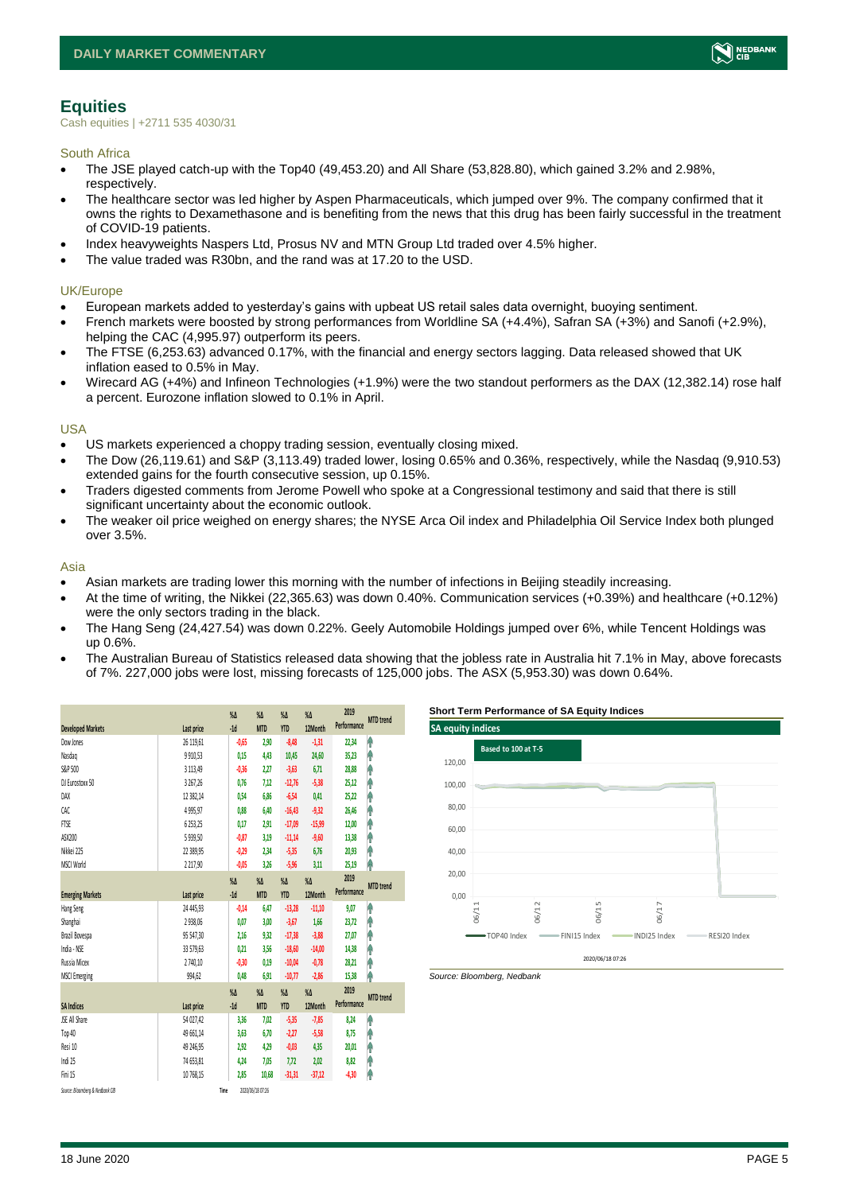

# <span id="page-4-0"></span>**Equities**

Cash equities | +2711 535 4030/31

South Africa

- The JSE played catch-up with the Top40 (49,453.20) and All Share (53,828.80), which gained 3.2% and 2.98%, respectively.
- The healthcare sector was led higher by Aspen Pharmaceuticals, which jumped over 9%. The company confirmed that it owns the rights to Dexamethasone and is benefiting from the news that this drug has been fairly successful in the treatment of COVID-19 patients.
- Index heavyweights Naspers Ltd, Prosus NV and MTN Group Ltd traded over 4.5% higher.
- The value traded was R30bn, and the rand was at 17.20 to the USD.

#### UK/Europe

- European markets added to yesterday's gains with upbeat US retail sales data overnight, buoying sentiment.
- French markets were boosted by strong performances from Worldline SA (+4.4%), Safran SA (+3%) and Sanofi (+2.9%), helping the CAC (4,995.97) outperform its peers.
- The FTSE (6,253.63) advanced 0.17%, with the financial and energy sectors lagging. Data released showed that UK inflation eased to 0.5% in May.
- Wirecard AG (+4%) and Infineon Technologies (+1.9%) were the two standout performers as the DAX (12,382.14) rose half a percent. Eurozone inflation slowed to 0.1% in April.

#### USA

- US markets experienced a choppy trading session, eventually closing mixed.
- The Dow (26,119.61) and S&P (3,113.49) traded lower, losing 0.65% and 0.36%, respectively, while the Nasdaq (9,910.53) extended gains for the fourth consecutive session, up 0.15%.
- Traders digested comments from Jerome Powell who spoke at a Congressional testimony and said that there is still significant uncertainty about the economic outlook.
- The weaker oil price weighed on energy shares; the NYSE Arca Oil index and Philadelphia Oil Service Index both plunged over 3.5%.

#### Asia

- Asian markets are trading lower this morning with the number of infections in Beijing steadily increasing.
- At the time of writing, the Nikkei (22,365.63) was down 0.40%. Communication services (+0.39%) and healthcare (+0.12%) were the only sectors trading in the black.
- The Hang Seng (24,427.54) was down 0.22%. Geely Automobile Holdings jumped over 6%, while Tencent Holdings was up 0.6%.
- The Australian Bureau of Statistics released data showing that the jobless rate in Australia hit 7.1% in May, above forecasts of 7%. 227,000 jobs were lost, missing forecasts of 125,000 jobs. The ASX (5,953.30) was down 0.64%.

|                                 |              | $\sqrt{\Lambda}$ | $\%$ $\Delta$    | $\%$ $\Delta$ | $\%$          | 2019        | <b>MTD</b> trend |
|---------------------------------|--------------|------------------|------------------|---------------|---------------|-------------|------------------|
| <b>Developed Markets</b>        | Last price   | $-1d$            | <b>MTD</b>       | <b>YTD</b>    | 12Month       | Performance |                  |
| Dow Jones                       | 26 119,61    | $-0,65$          | 2,90             | $-8,48$       | $-1,31$       | 22,34       | ۸                |
| Nasdao                          | 9910,53      | 0,15             | 4,43             | 10,45         | 24,60         | 35,23       | ۸                |
| S&P 500                         | 3 1 1 3, 4 9 | $-0,36$          | 2,27             | $-3,63$       | 6,71          | 28,88       | ۸                |
| DJ Eurostoxx 50                 | 3 267,26     | 0,76             | 7,12             | $-12,76$      | $-5,38$       | 25,12       | ۸                |
| DAX                             | 12 382,14    | 0,54             | 6.86             | $-6,54$       | 0,41          | 25,22       | ۸                |
| CAC                             | 4995,97      | 0,88             | 6,40             | $-16,43$      | $-9,32$       | 26,46       | ۸                |
| <b>FTSE</b>                     | 6 2 5 3, 2 5 | 0.17             | 2,91             | $-17,09$      | $-15,99$      | 12,00       | ۸                |
| ASX200                          | 5939,50      | $-0,87$          | 3,19             | $-11,14$      | $-9,60$       | 13,38       | ۸                |
| Nikkei 225                      | 22 389,95    | $-0,29$          | 2.34             | $-5,35$       | 6.76          | 20,93       | ۸                |
| MSCI World                      | 2 2 1 7,90   | $-0.05$          | 3,26             | $-5,96$       | 3,11          | 25,19       | ٨                |
|                                 |              | $\sqrt{\Lambda}$ | $\%$ $\Delta$    | $\%$ $\Delta$ | $\%$ $\Delta$ | 2019        |                  |
| <b>Emerging Markets</b>         | Last price   | $-1d$            | <b>MTD</b>       | <b>YTD</b>    | 12Month       | Performance | <b>MTD</b> trend |
| Hang Seng                       | 24 445,93    | $-0.14$          | 6,47             | $-13,28$      | $-11,10$      | 9,07        | ۸                |
| Shanghai                        | 2938,06      | 0,07             | 3,00             | $-3,67$       | 1,66          | 23,72       | ۸                |
| Brazil Bovespa                  | 95 547,30    | 2,16             | 9,32             | $-17,38$      | $-3,88$       | 27,07       | ۸                |
| India - NSE                     | 33 579,63    | 0,21             | 3,56             | $-18,60$      | $-14,00$      | 14,38       | ۸                |
| Russia Micex                    | 2740,10      | $-0,30$          | 0,19             | $-10,04$      | $-0,78$       | 28,21       | ۸                |
| <b>MSCI Emerging</b>            | 994,62       | 0.48             | 6.91             | $-10,77$      | $-2,86$       | 15,38       | ۸                |
|                                 |              | $\sqrt{\Lambda}$ | $\%$ $\Delta$    | $\%$ $\Delta$ | $\%$ $\Delta$ | 2019        | <b>MTD</b> trend |
| <b>SA Indices</b>               | Last price   | $-1d$            | <b>MTD</b>       | <b>YTD</b>    | 12Month       | Performance |                  |
| <b>ISE All Share</b>            | 54 027.42    | 3,36             | 7.02             | $-5,35$       | $-7.85$       | 8,24        | ۸                |
| Top 40                          | 49 661,14    | 3,63             | 6,70             | $-2,27$       | $-5,58$       | 8,75        | φ                |
| Resi 10                         | 49 246,95    | 2,92             | 4,29             | $-0,03$       | 4,35          | 20,01       | φ                |
| Indi 25                         | 74 653,81    | 4,24             | 7,05             | 7,72          | 2,02          | 8,82        | ł                |
| Fini 15                         | 10 768,15    | 2,85             | 10,68            | $-31,31$      | $-37,12$      | $-4,30$     | ۸                |
| Source: Bloomberg & Nedbonk CIB |              | Time             | 2020/06/18 07:26 |               |               |             |                  |

#### **Short Term Performance of SA Equity Indices**



*Source: Bloomberg, Nedbank*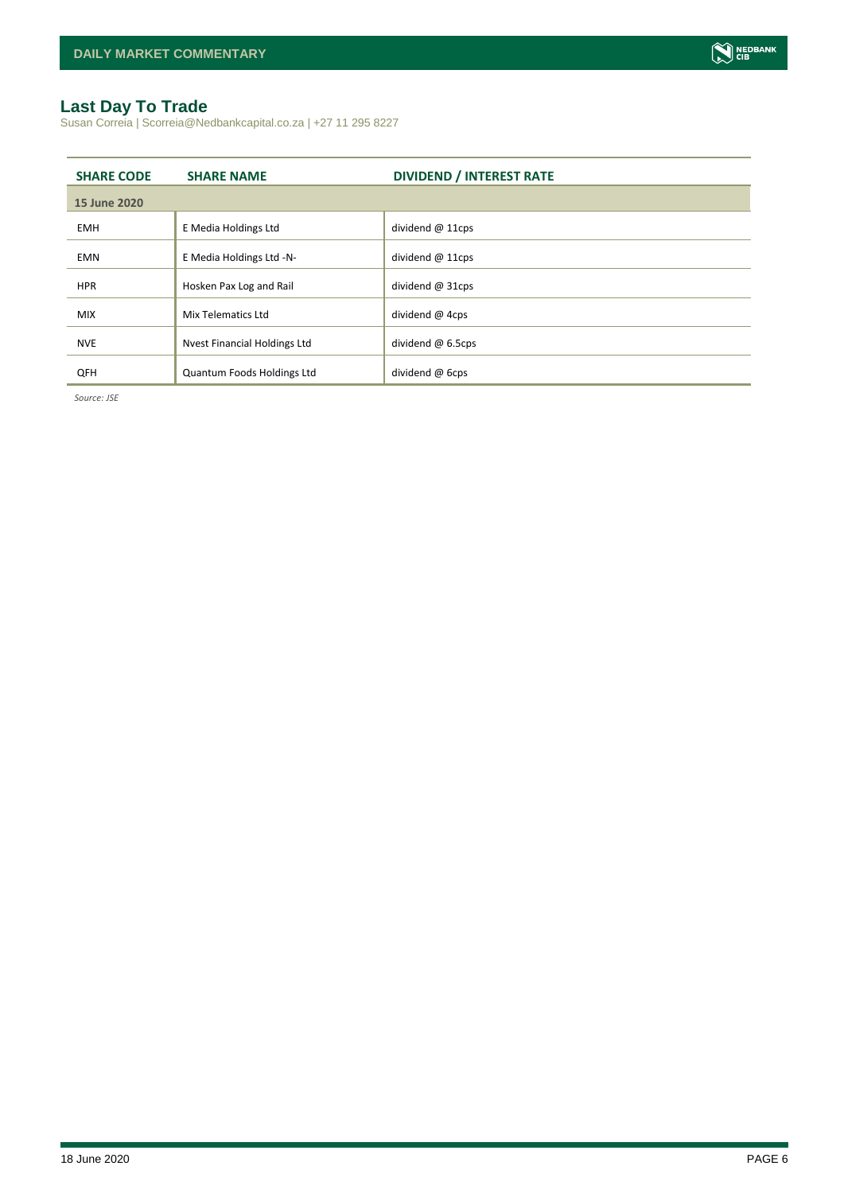

# <span id="page-5-0"></span>**Last Day To Trade**

Susan Correia | Scorreia@Nedbankcapital.co.za | +27 11 295 8227

| <b>SHARE CODE</b> | <b>SHARE NAME</b>                   | <b>DIVIDEND / INTEREST RATE</b> |
|-------------------|-------------------------------------|---------------------------------|
| 15 June 2020      |                                     |                                 |
| <b>EMH</b>        | E Media Holdings Ltd                | dividend $@11cps$               |
| <b>EMN</b>        | E Media Holdings Ltd -N-            | dividend $@11cps$               |
| <b>HPR</b>        | Hosken Pax Log and Rail             | dividend $@31cps$               |
| <b>MIX</b>        | Mix Telematics Ltd                  | dividend @ 4cps                 |
| <b>NVE</b>        | <b>Nvest Financial Holdings Ltd</b> | dividend @ 6.5cps               |
| QFH               | Quantum Foods Holdings Ltd          | dividend $@$ 6cps               |

*Source: JSE*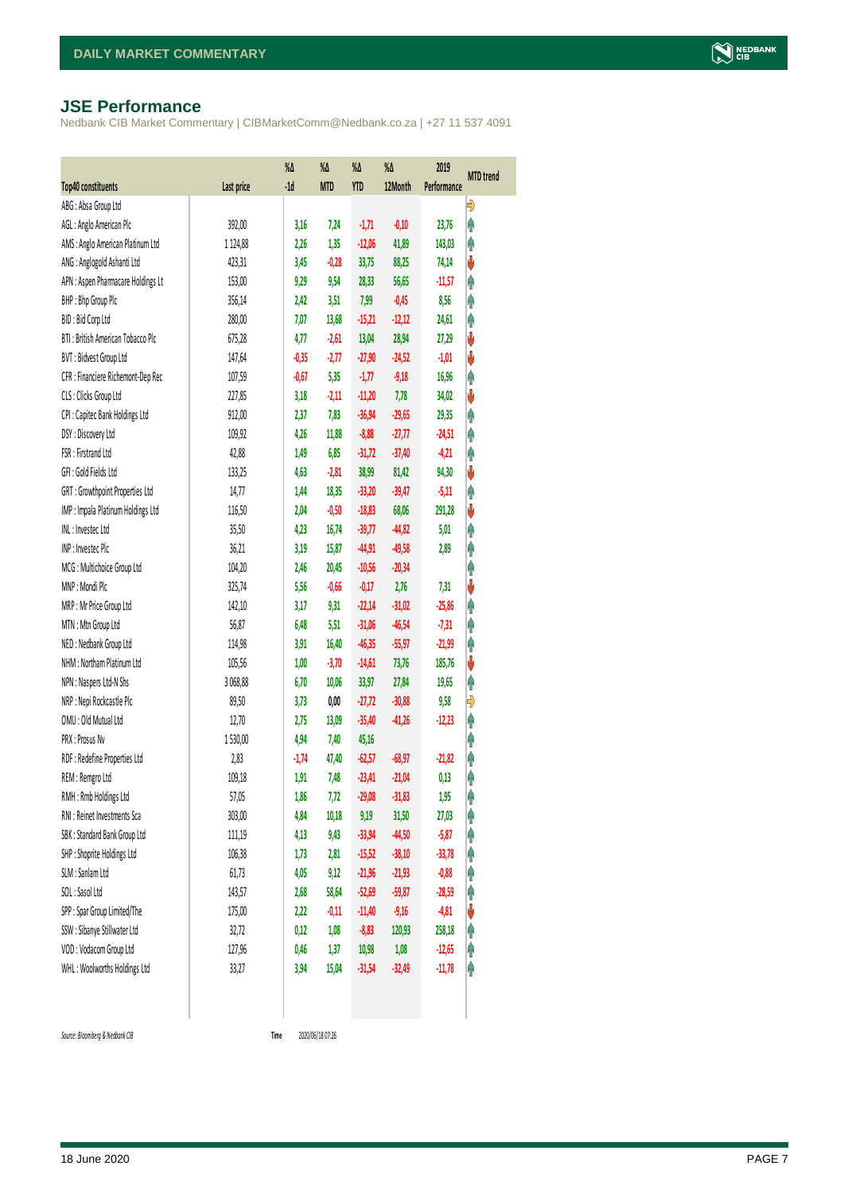#### <span id="page-6-0"></span>**JSE Performance**

Nedbank CIB Market Commentary | CIBMarketComm@Nedbank.co.za | +27 11 537 4091

| Top40 constituents                 | Last price | %Δ<br>$-1d$ | $\%$<br><b>MTD</b> | %Δ<br><b>YTD</b> | %Δ<br>12Month | 2019<br>Performance | <b>MTD</b> trend |
|------------------------------------|------------|-------------|--------------------|------------------|---------------|---------------------|------------------|
| ABG: Absa Group Ltd                |            |             |                    |                  |               |                     | Đ                |
| AGL: Anglo American Plc            | 392,00     | 3,16        | 7,24               | $-1,71$          | $-0,10$       | 23,76               | φ                |
| AMS: Anglo American Platinum Ltd   | 1 1 24,88  | 2,26        | 1,35               | $-12,06$         | 41,89         | 143,03              | Ą                |
| ANG: Anglogold Ashanti Ltd         | 423,31     | 3,45        | $-0,28$            | 33,75            | 88,25         | 74,14               | V                |
| APN : Aspen Pharmacare Holdings Lt | 153,00     | 9,29        | 9,54               | 28,33            | 56,65         | $-11,57$            | φ                |
| BHP: Bhp Group Plc                 | 356,14     | 2,42        | 3,51               | 7,99             | $-0,45$       | 8,56                | φ                |
| BID: Bid Corp Ltd                  | 280,00     | 7,07        | 13,68              | $-15,21$         | $-12,12$      | 24,61               | Ą                |
| BTI: British American Tobacco Plc  | 675,28     | 4,77        | $-2,61$            | 13,04            | 28,94         | 27,29               | V                |
| BVT: Bidvest Group Ltd             | 147,64     | $-0,35$     | $-2,77$            | $-27,90$         | $-24,52$      | $-1,01$             | ψ                |
| CFR : Financiere Richemont-Dep Rec | 107,59     | $-0,67$     | 5,35               | $-1, 77$         | $-9,18$       | 16,96               | Ą                |
| CLS : Clicks Group Ltd             | 227,85     | 3,18        | $-2,11$            | $-11,20$         | 7,78          | 34,02               | ψ                |
| CPI : Capitec Bank Holdings Ltd    | 912,00     | 2,37        | 7,83               | $-36,94$         | $-29,65$      | 29,35               | φ                |
| DSY: Discovery Ltd                 | 109,92     | 4,26        | 11,88              | $-8,88$          | $-27,77$      | $-24,51$            | φ                |
| FSR: Firstrand Ltd                 | 42,88      | 1,49        | 6,85               | $-31,72$         | $-37,40$      | $-4,21$             | φ                |
| GFI : Gold Fields Ltd              | 133,25     | 4,63        | $-2,81$            | 38,99            | 81,42         | 94,30               | ψ                |
| GRT : Growthpoint Properties Ltd   | 14, 77     | 1,44        | 18,35              | $-33,20$         | $-39,47$      | $-5,11$             | φ                |
| IMP : Impala Platinum Holdings Ltd | 116,50     | 2,04        | $-0,50$            | $-18,83$         | 68,06         | 291,28              | V                |
| INL: Investec Ltd                  | 35,50      | 4,23        | 16,74              | $-39,77$         | $-44,82$      | 5,01                | φ                |
| INP: Investec Plc                  | 36,21      | 3,19        | 15,87              | $-44,91$         | $-49,58$      | 2,89                | φ                |
| MCG: Multichoice Group Ltd         | 104,20     | 2,46        | 20,45              | $-10,56$         | $-20,34$      |                     | φ                |
| MNP: Mondi Plc                     | 325,74     | 5,56        | $-0,66$            | $-0,17$          | 2,76          | 7,31                | V                |
| MRP : Mr Price Group Ltd           | 142,10     | 3,17        | 9,31               | $-22,14$         | $-31,02$      | $-25,86$            | Ą                |
| MTN: Mtn Group Ltd                 | 56,87      | 6,48        | 5,51               | $-31,06$         | $-46,54$      | $-7,31$             | φ                |
| NED : Nedbank Group Ltd            | 114,98     | 3,91        | 16,40              | $-46,35$         | $-55,97$      | $-21,99$            | φ                |
| NHM: Northam Platinum Ltd          | 105,56     | 1,00        | $-3,70$            | $-14,61$         | 73,76         | 185,76              | V                |
| NPN : Naspers Ltd-N Shs            | 3 068,88   | 6,70        | 10,06              | 33,97            | 27,84         | 19,65               | φ                |
| NRP : Nepi Rockcastle Plc          | 89,50      | 3,73        | 0,00               | $-27,72$         | $-30,88$      | 9,58                | Đ                |
| OMU: Old Mutual Ltd                | 12,70      | 2,75        | 13,09              | $-35,40$         | $-41,26$      | $-12,23$            | φ                |
| <b>PRX: Prosus Nv</b>              | 1530,00    | 4,94        | 7,40               | 45,16            |               |                     | Ĥ                |
| RDF : Redefine Properties Ltd      | 2,83       | $-1,74$     | 47,40              | $-62,57$         | $-68,97$      | $-21,82$            | φ                |
| REM : Remgro Ltd                   | 109,18     | 1,91        | 7,48               | $-23,41$         | $-21,04$      | 0,13                | φ                |
| RMH: Rmb Holdings Ltd              | 57,05      | 1,86        | 7,72               | $-29,08$         | $-31,83$      | 1,95                | φ                |
| RNI : Reinet Investments Sca       | 303,00     | 4,84        | 10,18              | 9,19             | 31,50         | 27,03               | φ                |
| SBK: Standard Bank Group Ltd       | 111,19     | 4,13        | 9,43               | $-33,94$         | $-44,50$      | $-5,87$             | Ĥ                |
| SHP: Shoprite Holdings Ltd         | 106,38     | 1,73        | 2,81               | $-15,52$         | $-38,10$      | $-33,78$            | φ                |
| SLM : Sanlam Ltd                   | 61,73      | 4,05        | 9,12               | $-21,96$         | $-21,93$      | $-0,88$             | Ĥ                |
| SOL: Sasol Ltd                     | 143,57     | 2,68        | 58,64              | $-52,69$         | $-59,87$      | $-28,59$            | φ                |
| SPP: Spar Group Limited/The        | 175,00     | 2,22        | $-0,11$            | $-11,40$         | $-9,16$       | $-4,81$             | ψ                |
| SSW : Sibanye Stillwater Ltd       | 32, 72     | 0,12        | 1,08               | $-8,83$          | 120,93        | 258,18              | φ                |
| VOD: Vodacom Group Ltd             | 127,96     | 0,46        | 1,37               | 10,98            | 1,08          | $-12,65$            | φ                |
| WHL: Woolworths Holdings Ltd       | 33,27      | 3,94        | 15,04              | $-31,54$         | $-32,49$      | $-11,78$            | φ                |
|                                    |            |             |                    |                  |               |                     |                  |

*Source: Bloomberg & Nedbank CIB* **Time**

Time 2020/06/18 07:26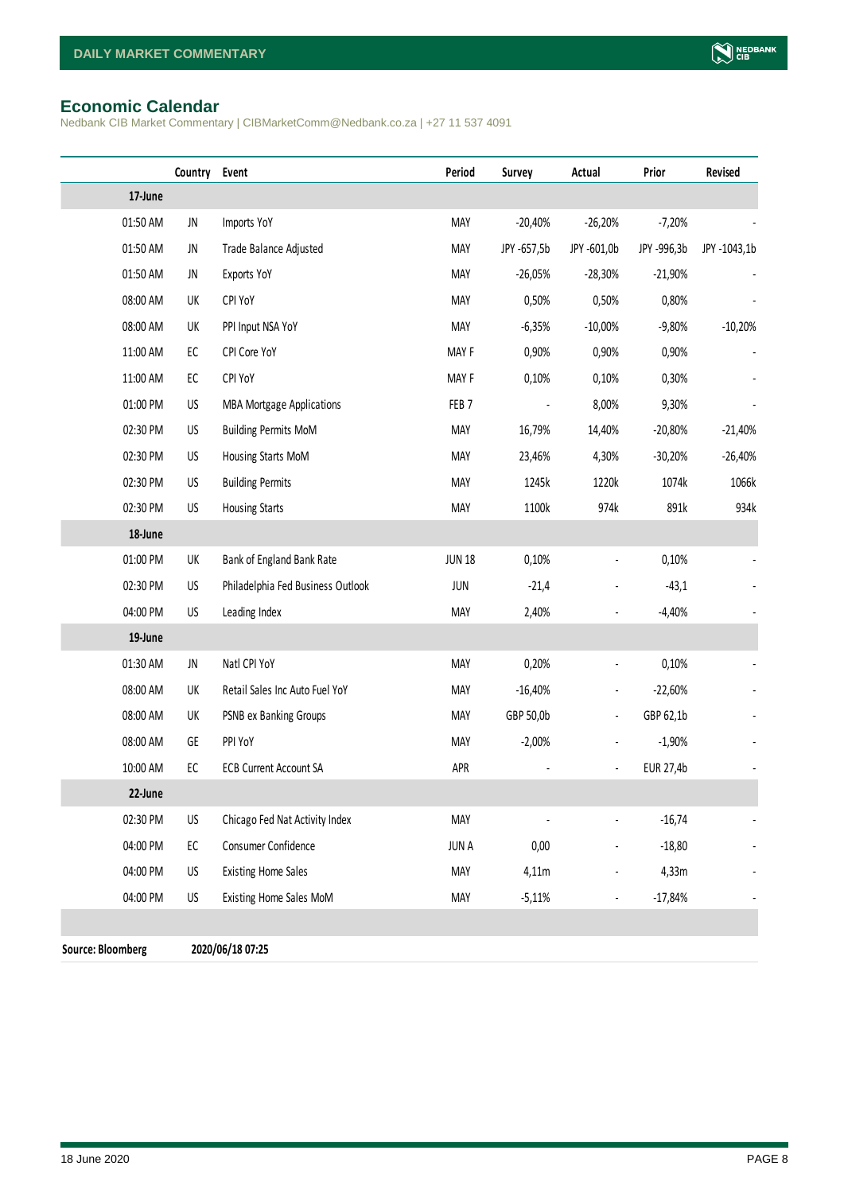# <span id="page-7-0"></span>**Economic Calendar**

Nedbank CIB Market Commentary | CIBMarketComm@Nedbank.co.za | +27 11 537 4091

|                          | Country    | Event                             | Period           | Survey      | Actual                   | Prior       | Revised      |
|--------------------------|------------|-----------------------------------|------------------|-------------|--------------------------|-------------|--------------|
| 17-June                  |            |                                   |                  |             |                          |             |              |
| 01:50 AM                 | JN         | Imports YoY                       | MAY              | $-20,40%$   | $-26,20%$                | $-7,20%$    |              |
| 01:50 AM                 | JN         | Trade Balance Adjusted            | <b>MAY</b>       | JPY -657,5b | JPY -601,0b              | JPY -996,3b | JPY -1043,1b |
| 01:50 AM                 | JN         | Exports YoY                       | <b>MAY</b>       | $-26,05%$   | $-28,30%$                | $-21,90%$   |              |
| 08:00 AM                 | UK         | CPI YoY                           | <b>MAY</b>       | 0,50%       | 0,50%                    | 0,80%       |              |
| 08:00 AM                 | UK         | PPI Input NSA YoY                 | <b>MAY</b>       | $-6,35%$    | $-10,00%$                | $-9,80%$    | $-10,20%$    |
| 11:00 AM                 | EC         | CPI Core YoY                      | MAY F            | 0,90%       | 0,90%                    | 0,90%       |              |
| 11:00 AM                 | ${\sf EC}$ | CPI YoY                           | MAY F            | 0,10%       | 0,10%                    | 0,30%       |              |
| 01:00 PM                 | US         | <b>MBA Mortgage Applications</b>  | FEB <sub>7</sub> |             | 8,00%                    | 9,30%       |              |
| 02:30 PM                 | US         | <b>Building Permits MoM</b>       | <b>MAY</b>       | 16,79%      | 14,40%                   | $-20,80%$   | $-21,40%$    |
| 02:30 PM                 | US         | Housing Starts MoM                | <b>MAY</b>       | 23,46%      | 4,30%                    | $-30,20%$   | $-26,40%$    |
| 02:30 PM                 | US         | <b>Building Permits</b>           | <b>MAY</b>       | 1245k       | 1220k                    | 1074k       | 1066k        |
| 02:30 PM                 | US         | <b>Housing Starts</b>             | <b>MAY</b>       | 1100k       | 974k                     | 891k        | 934k         |
| 18-June                  |            |                                   |                  |             |                          |             |              |
| 01:00 PM                 | UK         | Bank of England Bank Rate         | <b>JUN 18</b>    | 0,10%       | $\overline{a}$           | 0,10%       |              |
| 02:30 PM                 | US         | Philadelphia Fed Business Outlook | JUN              | $-21,4$     |                          | $-43,1$     |              |
| 04:00 PM                 | US         | Leading Index                     | <b>MAY</b>       | 2,40%       |                          | $-4,40%$    |              |
| 19-June                  |            |                                   |                  |             |                          |             |              |
| 01:30 AM                 | JN         | Natl CPI YoY                      | MAY              | 0,20%       |                          | 0,10%       |              |
| 08:00 AM                 | UK         | Retail Sales Inc Auto Fuel YoY    | MAY              | $-16,40%$   |                          | $-22,60%$   |              |
| 08:00 AM                 | UK         | PSNB ex Banking Groups            | <b>MAY</b>       | GBP 50,0b   | $\overline{\phantom{a}}$ | GBP 62,1b   |              |
| 08:00 AM                 | GE         | PPI YoY                           | <b>MAY</b>       | $-2,00\%$   |                          | $-1,90%$    |              |
| 10:00 AM                 | EC         | <b>ECB Current Account SA</b>     | APR              |             | $\blacksquare$           | EUR 27,4b   |              |
| 22-June                  |            |                                   |                  |             |                          |             |              |
| 02:30 PM                 | US         | Chicago Fed Nat Activity Index    | <b>MAY</b>       |             |                          | $-16,74$    |              |
| 04:00 PM                 | ${\sf EC}$ | Consumer Confidence               | <b>JUNA</b>      | 0,00        |                          | $-18,80$    |              |
| 04:00 PM                 | US         | <b>Existing Home Sales</b>        | <b>MAY</b>       | 4,11m       |                          | 4,33m       |              |
| 04:00 PM                 | US         | Existing Home Sales MoM           | <b>MAY</b>       | $-5,11%$    | $\overline{\phantom{a}}$ | $-17,84%$   |              |
|                          |            |                                   |                  |             |                          |             |              |
| <b>Source: Bloomberg</b> |            | 2020/06/18 07:25                  |                  |             |                          |             |              |